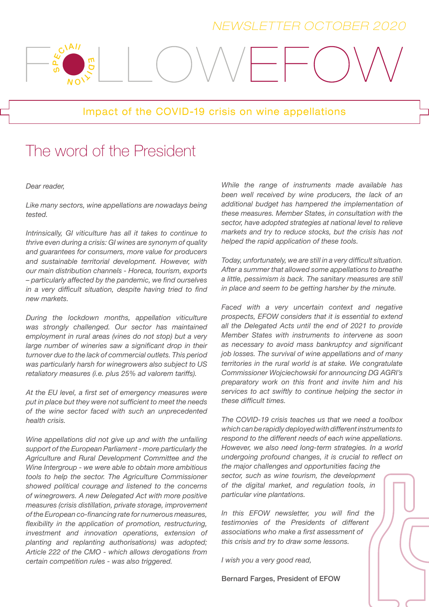### *NEWSLETTER OCTOBER 2020*

#### Impact of the COVID-19 crisis on wine appellations

## The word of the President

#### Dear reader,

ഗ  $\mathbf{a}$ 

ELAI

π  $\mathbf \sigma$ 

NOI<sup>Y</sup>

Like many sectors, wine appellations are nowadays being tested.

Intrinsically, GI viticulture has all it takes to continue to thrive even during a crisis: GI wines are synonym of quality and guarantees for consumers, more value for producers and sustainable territorial development. However, with our main distribution channels - Horeca, tourism, exports – particularly affected by the pandemic, we find ourselves in a very difficult situation, despite having tried to find new markets.

During the lockdown months, appellation viticulture was strongly challenged. Our sector has maintained employment in rural areas (vines do not stop) but a very large number of wineries saw a significant drop in their turnover due to the lack of commercial outlets. This period was particularly harsh for winegrowers also subject to US retaliatory measures (i.e. plus 25% ad valorem tariffs).

At the EU level, a first set of emergency measures were put in place but they were not sufficient to meet the needs of the wine sector faced with such an unprecedented health crisis.

Wine appellations did not give up and with the unfailing support of the European Parliament - more particularly the Agriculture and Rural Development Committee and the Wine Intergroup - we were able to obtain more ambitious tools to help the sector. The Agriculture Commissioner showed political courage and listened to the concerns of winegrowers. A new Delegated Act with more positive measures (crisis distillation, private storage, improvement of the European co-financing rate for numerous measures, flexibility in the application of promotion, restructuring, investment and innovation operations, extension of planting and replanting authorisations) was adopted; Article 222 of the CMO - which allows derogations from certain competition rules - was also triggered.

While the range of instruments made available has been well received by wine producers, the lack of an additional budget has hampered the implementation of these measures. Member States, in consultation with the sector, have adopted strategies at national level to relieve markets and try to reduce stocks, but the crisis has not helped the rapid application of these tools.

Today, unfortunately, we are still in a very difficult situation. After a summer that allowed some appellations to breathe a little, pessimism is back. The sanitary measures are still in place and seem to be getting harsher by the minute.

Faced with a very uncertain context and negative prospects, EFOW considers that it is essential to extend all the Delegated Acts until the end of 2021 to provide Member States with instruments to intervene as soon as necessary to avoid mass bankruptcy and significant job losses. The survival of wine appellations and of many territories in the rural world is at stake. We congratulate Commissioner Wojciechowski for announcing DG AGRI's preparatory work on this front and invite him and his services to act swiftly to continue helping the sector in these difficult times.

The COVID-19 crisis teaches us that we need a toolbox which can be rapidly deployed with different instruments to respond to the different needs of each wine appellations. However, we also need long-term strategies. In a world undergoing profound changes, it is crucial to reflect on the major challenges and opportunities facing the sector, such as wine tourism, the development of the digital market, and regulation tools, in particular vine plantations.

In this EFOW newsletter, you will find the testimonies of the Presidents of different associations who make a first assessment of this crisis and try to draw some lessons.

I wish you a very good read,

Bernard Farges, President of EFOW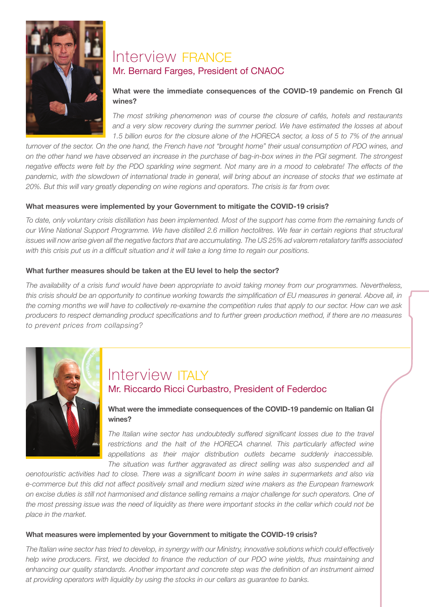

### Interview FRANCE Mr. Bernard Farges, President of CNAOC

#### What were the immediate consequences of the COVID-19 pandemic on French GI wines?

The most striking phenomenon was of course the closure of cafés, hotels and restaurants and a very slow recovery during the summer period. We have estimated the losses at about 1.5 billion euros for the closure alone of the HORECA sector, a loss of 5 to 7% of the annual

turnover of the sector. On the one hand, the French have not "brought home" their usual consumption of PDO wines, and on the other hand we have observed an increase in the purchase of bag-in-box wines in the PGI segment. The strongest negative effects were felt by the PDO sparkling wine segment. Not many are in a mood to celebrate! The effects of the pandemic, with the slowdown of international trade in general, will bring about an increase of stocks that we estimate at 20%. But this will vary greatly depending on wine regions and operators. The crisis is far from over.

#### What measures were implemented by your Government to mitigate the COVID-19 crisis?

To date, only voluntary crisis distillation has been implemented. Most of the support has come from the remaining funds of our Wine National Support Programme. We have distilled 2.6 million hectolitres. We fear in certain regions that structural issues will now arise given all the negative factors that are accumulating. The US 25% ad valorem retaliatory tariffs associated with this crisis put us in a difficult situation and it will take a long time to regain our positions.

#### What further measures should be taken at the EU level to help the sector?

The availability of a crisis fund would have been appropriate to avoid taking money from our programmes. Nevertheless, this crisis should be an opportunity to continue working towards the simplification of EU measures in general. Above all, in the coming months we will have to collectively re-examine the competition rules that apply to our sector. How can we ask producers to respect demanding product specifications and to further green production method, if there are no measures to prevent prices from collapsing?



### Interview **ITALY** Mr. Riccardo Ricci Curbastro, President of Federdoc

What were the immediate consequences of the COVID-19 pandemic on Italian GI wines?

The Italian wine sector has undoubtedly suffered significant losses due to the travel restrictions and the halt of the HORECA channel. This particularly affected wine appellations as their major distribution outlets became suddenly inaccessible. The situation was further aggravated as direct selling was also suspended and all

oenotouristic activities had to close. There was a significant boom in wine sales in supermarkets and also via e-commerce but this did not affect positively small and medium sized wine makers as the European framework on excise duties is still not harmonised and distance selling remains a major challenge for such operators. One of the most pressing issue was the need of liquidity as there were important stocks in the cellar which could not be place in the market.

#### What measures were implemented by your Government to mitigate the COVID-19 crisis?

The Italian wine sector has tried to develop, in synergy with our Ministry, innovative solutions which could effectively help wine producers. First, we decided to finance the reduction of our PDO wine yields, thus maintaining and enhancing our quality standards. Another important and concrete step was the definition of an instrument aimed at providing operators with liquidity by using the stocks in our cellars as guarantee to banks.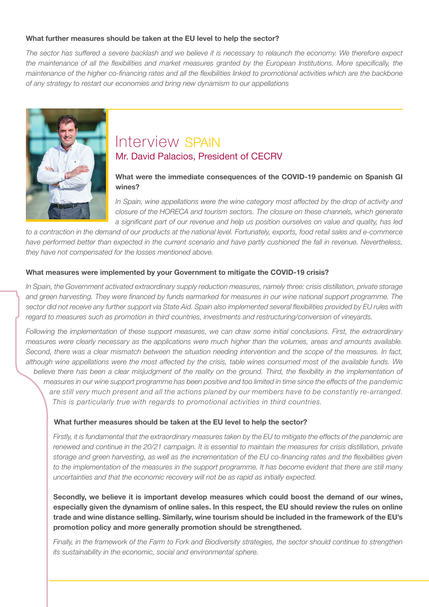#### What further measures should be taken at the EU level to help the sector?

The sector has suffered a severe backlash and we believe it is necessary to relaunch the economy. We therefore expect the maintenance of all the flexibilities and market measures granted by the European Institutions. More specifically, the maintenance of the higher co-financing rates and all the flexibilities linked to promotional activities which are the backbone of any strategy to restart our economies and bring new dynamism to our appellations



### Interview SPAIN Mr. David Palacios, President of CECRV

#### What were the immediate consequences of the COVID-19 pandemic on Spanish GI wines?

In Spain, wine appellations were the wine category most affected by the drop of activity and closure of the HORECA and tourism sectors. The closure on these channels, which generate a significant part of our revenue and help us position ourselves on value and quality, has led

to a contraction in the demand of our products at the national level. Fortunately, exports, food retail sales and e-commerce have performed better than expected in the current scenario and have partly cushioned the fall in revenue. Nevertheless, they have not compensated for the losses mentioned above.

#### What measures were implemented by your Government to mitigate the COVID-19 crisis?

In Spain, the Government activated extraordinary supply reduction measures, namely three: crisis distillation, private storage and green harvesting. They were financed by funds earmarked for measures in our wine national support programme. The sector did not receive any further support via State Aid. Spain also implemented several flexibilities provided by EU rules with regard to measures such as promotion in third countries, investments and restructuring/conversion of vineyards.

Following the implementation of these support measures, we can draw some initial conclusions. First, the extraordinary measures were clearly necessary as the applications were much higher than the volumes, areas and amounts available. Second, there was a clear mismatch between the situation needing intervention and the scope of the measures. In fact, although wine appellations were the most affected by the crisis, table wines consumed most of the available funds. We believe there has been a clear misjudgment of the reality on the ground. Third, the flexibility in the implementation of measures in our wine support programme has been positive and too limited in time since the effects of the pandemic are still very much present and all the actions planed by our members have to be constantly re-arranged. This is particularly true with regards to promotional activities in third countries.

#### What further measures should be taken at the EU level to help the sector?

Firstly, it is fundamental that the extraordinary measures taken by the EU to mitigate the effects of the pandemic are renewed and continue in the 20/21 campaign. It is essential to maintain the measures for crisis distillation, private storage and green harvesting, as well as the incrementation of the EU co-financing rates and the flexibilities given to the implementation of the measures in the support programme. It has become evident that there are still many uncertainties and that the economic recovery will not be as rapid as initially expected.

Secondly, we believe it is important develop measures which could boost the demand of our wines, especially given the dynamism of online sales. In this respect, the EU should review the rules on online trade and wine distance selling. Similarly, wine tourism should be included in the framework of the EU's promotion policy and more generally promotion should be strengthened.

Finally, in the framework of the Farm to Fork and Biodiversity strategies, the sector should continue to strengthen its sustainability in the economic, social and environmental sphere.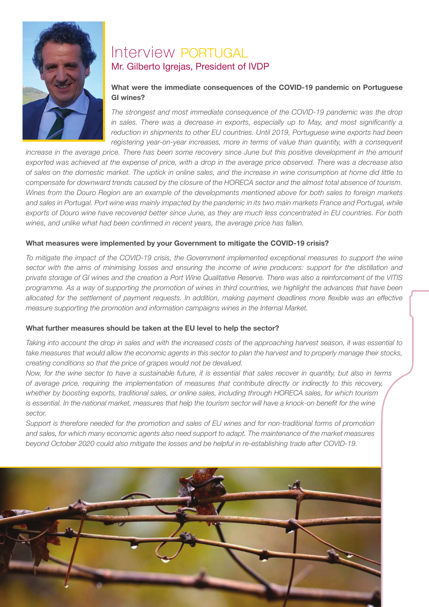

### Interview PORTUGAL Mr. Gilberto Igrejas, President of IVDP

#### What were the immediate consequences of the COVID-19 pandemic on Portuguese GI wines?

The strongest and most immediate consequence of the COVID-19 pandemic was the drop in sales. There was a decrease in exports, especially up to May, and most significantly a reduction in shipments to other EU countries. Until 2019, Portuguese wine exports had been registering year-on-year increases, more in terms of value than quantity, with a consequent

increase in the average price. There has been some recovery since June but this positive development in the amount exported was achieved at the expense of price, with a drop in the average price observed. There was a decrease also of sales on the domestic market. The uptick in online sales, and the increase in wine consumption at home did little to compensate for downward trends caused by the closure of the HORECA sector and the almost total absence of tourism. Wines from the Douro Region are an example of the developments mentioned above for both sales to foreign markets and sales in Portugal. Port wine was mainly impacted by the pandemic in its two main markets France and Portugal, while exports of Douro wine have recovered better since June, as they are much less concentrated in EU countries. For both wines, and unlike what had been confirmed in recent years, the average price has fallen.

#### What measures were implemented by your Government to mitigate the COVID-19 crisis?

To mitigate the impact of the COVID-19 crisis, the Government implemented exceptional measures to support the wine sector with the aims of minimising losses and ensuring the income of wine producers: support for the distillation and private storage of GI wines and the creation a Port Wine Qualitative Reserve. There was also a reinforcement of the VITIS programme. As a way of supporting the promotion of wines in third countries, we highlight the advances that have been allocated for the settlement of payment requests. In addition, making payment deadlines more flexible was an effective measure supporting the promotion and information campaigns wines in the Internal Market.

#### What further measures should be taken at the EU level to help the sector?

Taking into account the drop in sales and with the increased costs of the approaching harvest season, it was essential to take measures that would allow the economic agents in this sector to plan the harvest and to properly manage their stocks, creating conditions so that the price of grapes would not be devalued.

Now, for the wine sector to have a sustainable future, it is essential that sales recover in quantity, but also in terms of average price, requiring the implementation of measures that contribute directly or indirectly to this recovery, whether by boosting exports, traditional sales, or online sales, including through HORECA sales, for which tourism is essential. In the national market, measures that help the tourism sector will have a knock-on benefit for the wine sector.

Support is therefore needed for the promotion and sales of EU wines and for non-traditional forms of promotion and sales, for which many economic agents also need support to adapt. The maintenance of the market measures beyond October 2020 could also mitigate the losses and be helpful in re-establishing trade after COVID-19.